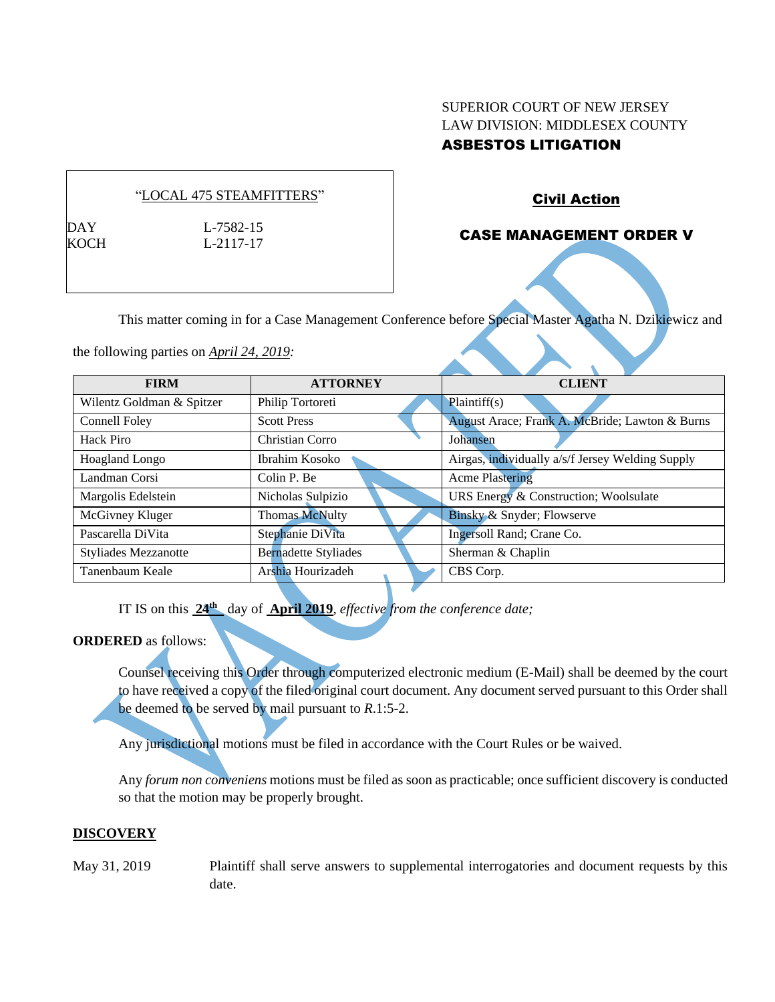# SUPERIOR COURT OF NEW JERSEY LAW DIVISION: MIDDLESEX COUNTY

# ASBESTOS LITIGATION

### "LOCAL 475 STEAMFITTERS"

KOCH L-2117-17

DAY L-7582-15

# Civil Action

# CASE MANAGEMENT ORDER V

This matter coming in for a Case Management Conference before Special Master Agatha N. Dzikiewicz and

the following parties on *April 24, 2019:*

| <b>FIRM</b>                 | <b>ATTORNEY</b>             | <b>CLIENT</b>                                    |
|-----------------------------|-----------------------------|--------------------------------------------------|
| Wilentz Goldman & Spitzer   | Philip Tortoreti            | Plaintiff(s)                                     |
| Connell Foley               | <b>Scott Press</b>          | August Arace; Frank A. McBride; Lawton & Burns   |
| Hack Piro                   | Christian Corro             | Johansen                                         |
| Hoagland Longo              | Ibrahim Kosoko              | Airgas, individually a/s/f Jersey Welding Supply |
| Landman Corsi               | Colin P. Be                 | <b>Acme Plastering</b>                           |
| Margolis Edelstein          | Nicholas Sulpizio           | URS Energy & Construction; Woolsulate            |
| McGivney Kluger             | <b>Thomas McNulty</b>       | Binsky & Snyder; Flowserve                       |
| Pascarella DiVita           | Stephanie DiVita            | Ingersoll Rand; Crane Co.                        |
| <b>Styliades Mezzanotte</b> | <b>Bernadette Styliades</b> | Sherman & Chaplin                                |
| Tanenbaum Keale             | Arshia Hourizadeh           | CBS Corp.                                        |

IT IS on this  $24^{\text{th}}$  day of **April 2019**, *effective from the conference date*;

#### **ORDERED** as follows:

Counsel receiving this Order through computerized electronic medium (E-Mail) shall be deemed by the court to have received a copy of the filed original court document. Any document served pursuant to this Order shall be deemed to be served by mail pursuant to *R*.1:5-2.

Any jurisdictional motions must be filed in accordance with the Court Rules or be waived.

Any *forum non conveniens* motions must be filed as soon as practicable; once sufficient discovery is conducted so that the motion may be properly brought.

#### **DISCOVERY**

May 31, 2019 Plaintiff shall serve answers to supplemental interrogatories and document requests by this date.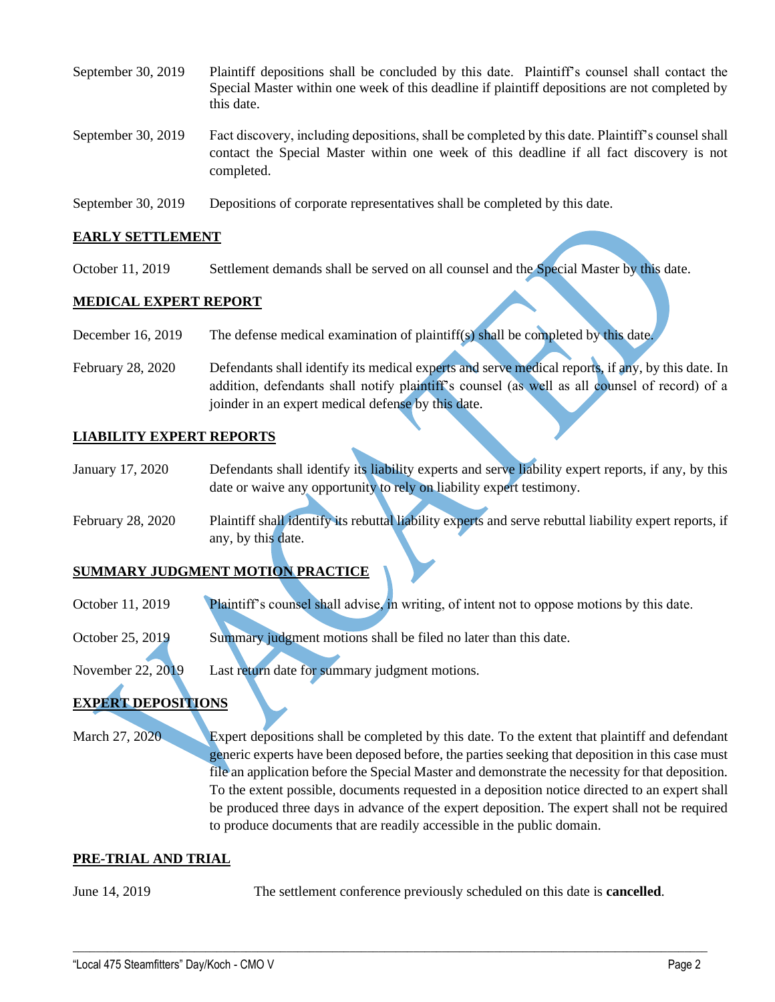| September 30, $2019$ | Plaintiff depositions shall be concluded by this date. Plaintiff's counsel shall contact the<br>Special Master within one week of this deadline if plaintiff depositions are not completed by<br>this date. |
|----------------------|-------------------------------------------------------------------------------------------------------------------------------------------------------------------------------------------------------------|
| September 30, 2019   | Fact discovery, including depositions, shall be completed by this date. Plaintiff's counsel shall<br>contact the Special Master within one week of this deadline if all fact discovery is not<br>completed. |

September 30, 2019 Depositions of corporate representatives shall be completed by this date.

#### **EARLY SETTLEMENT**

October 11, 2019 Settlement demands shall be served on all counsel and the Special Master by this date.

#### **MEDICAL EXPERT REPORT**

- December 16, 2019 The defense medical examination of plaintiff(s) shall be completed by this date.
- February 28, 2020 Defendants shall identify its medical experts and serve medical reports, if any, by this date. In addition, defendants shall notify plaintiff's counsel (as well as all counsel of record) of a joinder in an expert medical defense by this date.

#### **LIABILITY EXPERT REPORTS**

- January 17, 2020 Defendants shall identify its liability experts and serve liability expert reports, if any, by this date or waive any opportunity to rely on liability expert testimony.
- February 28, 2020 Plaintiff shall identify its rebuttal liability experts and serve rebuttal liability expert reports, if any, by this date.

#### **SUMMARY JUDGMENT MOTION PRACTICE**

- October 11, 2019 Plaintiff's counsel shall advise, in writing, of intent not to oppose motions by this date.
- October 25, 2019 Summary judgment motions shall be filed no later than this date.

November 22, 2019 Last return date for summary judgment motions.

# **EXPERT DEPOSITIONS**

March 27, 2020 Expert depositions shall be completed by this date. To the extent that plaintiff and defendant generic experts have been deposed before, the parties seeking that deposition in this case must file an application before the Special Master and demonstrate the necessity for that deposition. To the extent possible, documents requested in a deposition notice directed to an expert shall be produced three days in advance of the expert deposition. The expert shall not be required to produce documents that are readily accessible in the public domain.

#### **PRE-TRIAL AND TRIAL**

June 14, 2019 The settlement conference previously scheduled on this date is **cancelled**.

 $\_$  , and the set of the set of the set of the set of the set of the set of the set of the set of the set of the set of the set of the set of the set of the set of the set of the set of the set of the set of the set of th